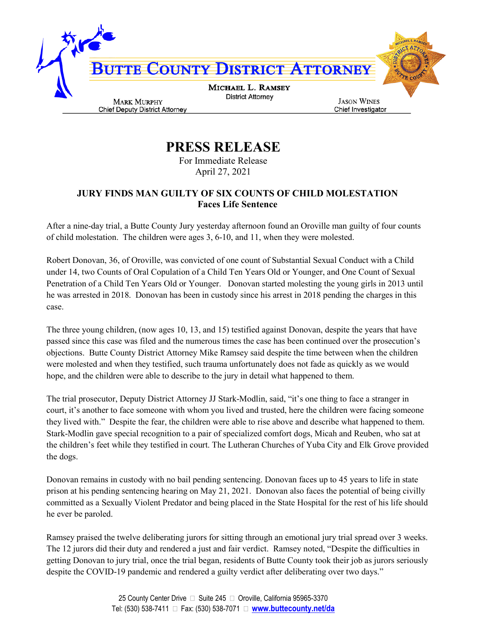

**PRESS RELEASE**

For Immediate Release April 27, 2021

## **JURY FINDS MAN GUILTY OF SIX COUNTS OF CHILD MOLESTATION Faces Life Sentence**

After a nine-day trial, a Butte County Jury yesterday afternoon found an Oroville man guilty of four counts of child molestation. The children were ages 3, 6-10, and 11, when they were molested.

Robert Donovan, 36, of Oroville, was convicted of one count of Substantial Sexual Conduct with a Child under 14, two Counts of Oral Copulation of a Child Ten Years Old or Younger, and One Count of Sexual Penetration of a Child Ten Years Old or Younger. Donovan started molesting the young girls in 2013 until he was arrested in 2018. Donovan has been in custody since his arrest in 2018 pending the charges in this case.

The three young children, (now ages 10, 13, and 15) testified against Donovan, despite the years that have passed since this case was filed and the numerous times the case has been continued over the prosecution's objections. Butte County District Attorney Mike Ramsey said despite the time between when the children were molested and when they testified, such trauma unfortunately does not fade as quickly as we would hope, and the children were able to describe to the jury in detail what happened to them.

The trial prosecutor, Deputy District Attorney JJ Stark-Modlin, said, "it's one thing to face a stranger in court, it's another to face someone with whom you lived and trusted, here the children were facing someone they lived with." Despite the fear, the children were able to rise above and describe what happened to them. Stark-Modlin gave special recognition to a pair of specialized comfort dogs, Micah and Reuben, who sat at the children's feet while they testified in court. The Lutheran Churches of Yuba City and Elk Grove provided the dogs.

Donovan remains in custody with no bail pending sentencing. Donovan faces up to 45 years to life in state prison at his pending sentencing hearing on May 21, 2021. Donovan also faces the potential of being civilly committed as a Sexually Violent Predator and being placed in the State Hospital for the rest of his life should he ever be paroled.

Ramsey praised the twelve deliberating jurors for sitting through an emotional jury trial spread over 3 weeks. The 12 jurors did their duty and rendered a just and fair verdict. Ramsey noted, "Despite the difficulties in getting Donovan to jury trial, once the trial began, residents of Butte County took their job as jurors seriously despite the COVID-19 pandemic and rendered a guilty verdict after deliberating over two days."

> 25 County Center Drive □ Suite 245 □ Oroville, California 95965-3370 Tel: (530) 538-7411 Fax: (530) 538-7071 **www.buttecounty.net/da**